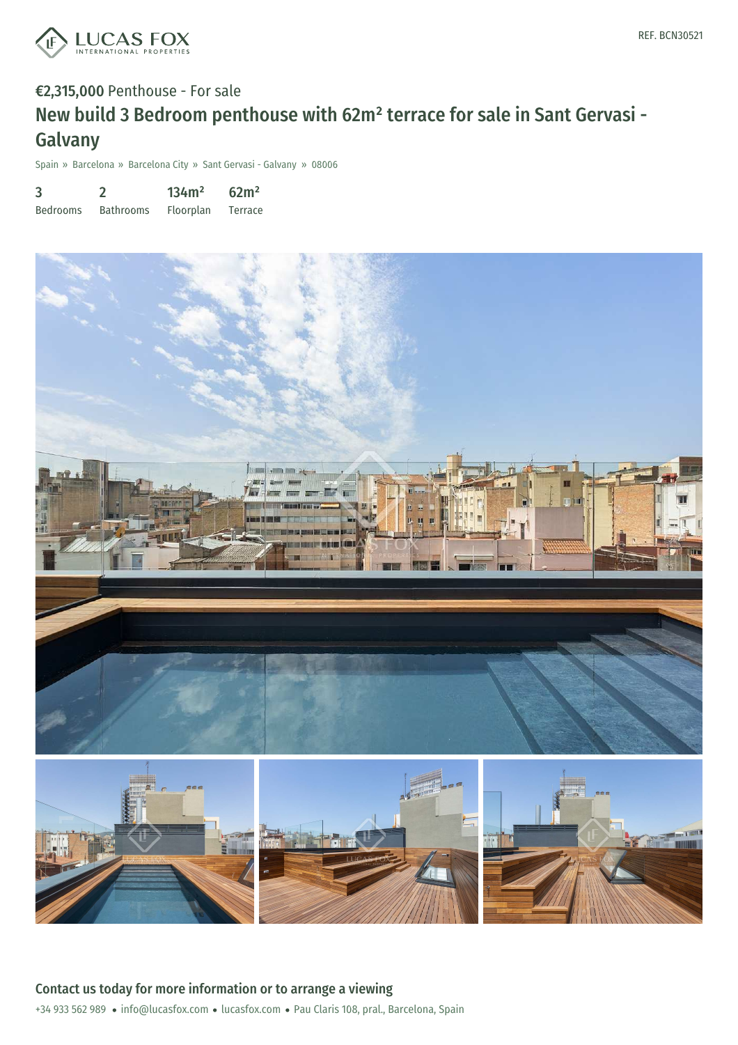

Spain » Barcelona » Barcelona City » Sant Gervasi - Galvany » 08006

| 3               |                  | 134m <sup>2</sup> | 62m <sup>2</sup> |
|-----------------|------------------|-------------------|------------------|
| <b>Bedrooms</b> | <b>Bathrooms</b> | Floorplan         | Terrace          |



+34 933 562 989 · info@lucasfox.com · lucasfox.com · Pau Claris 108, pral., Barcelona, Spain Contact us today for more information or to arrange a viewing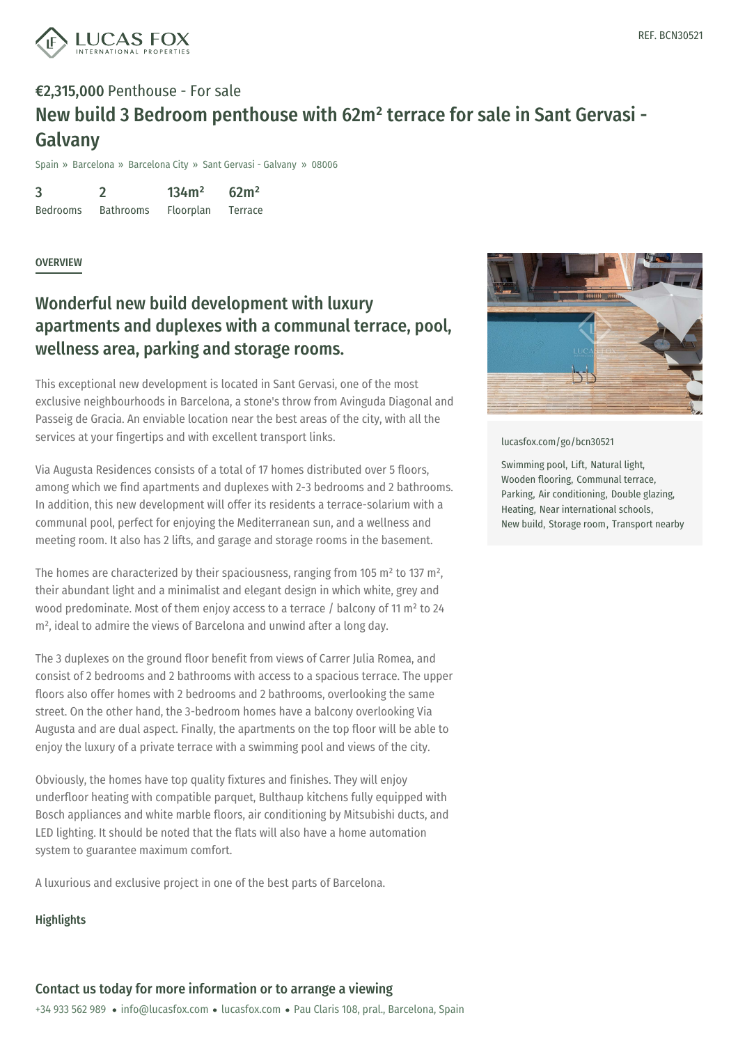

Spain » Barcelona » Barcelona City » Sant Gervasi - Galvany » 08006

3 Bedrooms  $\mathfrak{D}$ Bathrooms 134m² Floorplan 62m² Terrace

**OVERVIEW** 

### Wonderful new build development with luxury apartments and duplexes with a communal terrace, pool, wellness area, parking and storage rooms.

This exceptional new development is located in Sant Gervasi, one of the most exclusive neighbourhoods in Barcelona, a stone's throw from Avinguda Diagonal and Passeig de Gracia. An enviable location near the best areas of the city, with all the services at your fingertips and with excellent transport links.

Via Augusta Residences consists of a total of 17 homes distributed over 5 floors, among which we find apartments and duplexes with 2-3 bedrooms and 2 bathrooms. In addition, this new development will offer its residents a terrace-solarium with a communal pool, perfect for enjoying the Mediterranean sun, and a wellness and meeting room. It also has 2 lifts, and garage and storage rooms in the basement.

The homes are characterized by their spaciousness, ranging from 105  $m<sup>2</sup>$  to 137  $m<sup>2</sup>$ , their abundant light and a minimalist and elegant design in which white, grey and wood predominate. Most of them enjoy access to a terrace / balcony of 11 m² to 24 m², ideal to admire the views of Barcelona and unwind after a long day.

The 3 duplexes on the ground floor benefit from views of Carrer Julia Romea, and consist of 2 bedrooms and 2 bathrooms with access to a spacious terrace. The upper floors also offer homes with 2 bedrooms and 2 bathrooms, overlooking the same street. On the other hand, the 3-bedroom homes have a balcony overlooking Via Augusta and are dual aspect. Finally, the apartments on the top floor will be able to enjoy the luxury of a [private](mailto:info@lucasfox.com) terrace with a [swimm](https://www.lucasfox.com)ing pool and views of the city.

Obviously, the homes have top quality fixtures and finishes. They will enjoy underfloor heating with compatible parquet, Bulthaup kitchens fully equipped with Bosch appliances and white marble floors, air conditioning by Mitsubishi ducts, and LED lighting. It should be noted that the flats will also have a home automation system to guarantee maximum comfort.

A luxurious and exclusive project in one of the best parts of Barcelona.

#### Highlights



[lucasfox.com/go/bcn30521](https://www.lucasfox.com/go/bcn30521)

Swimming pool, Lift, Natural light, Wooden flooring, Communal terrace, Parking, Air conditioning, Double glazing, Heating, Near international schools, New build, Storage room, Transport nearby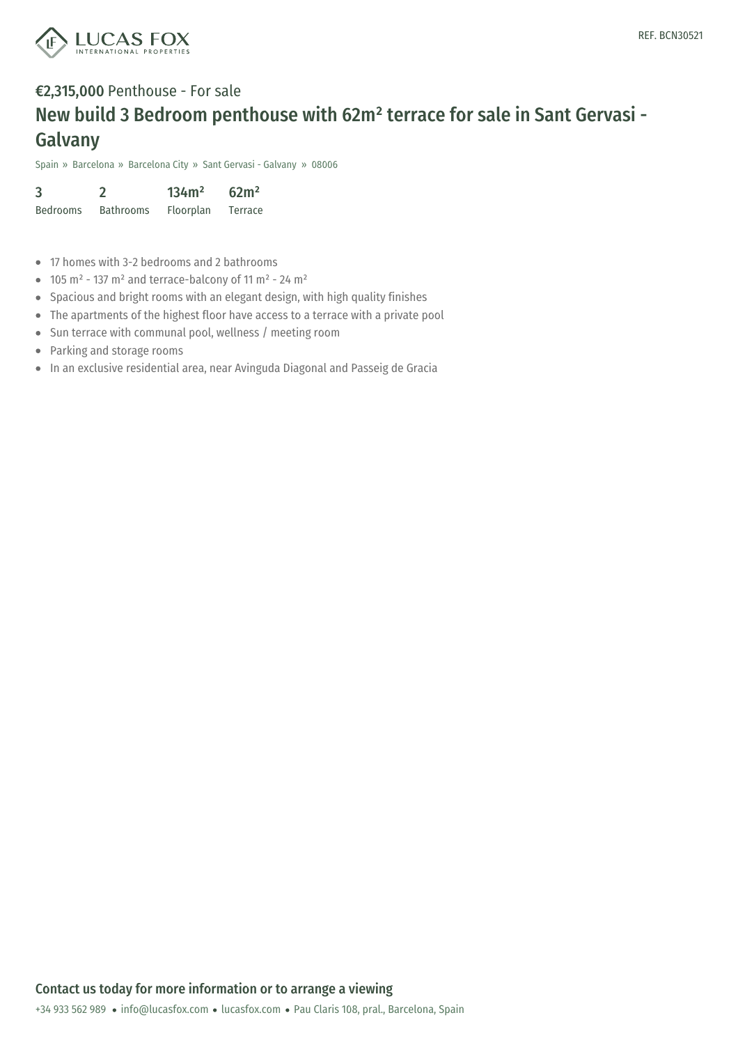

Spain » Barcelona » Barcelona City » Sant Gervasi - Galvany » 08006

| 3               |                  | 134m <sup>2</sup> | 62m <sup>2</sup> |
|-----------------|------------------|-------------------|------------------|
| <b>Bedrooms</b> | <b>Bathrooms</b> | Floorplan         | Terrace          |

- 17 homes with 3-2 bedrooms and 2 bathrooms
- $\bullet$  105 m<sup>2</sup> 137 m<sup>2</sup> and terrace-balcony of 11 m<sup>2</sup> 24 m<sup>2</sup>
- Spacious and bright rooms with an elegant design, with high quality finishes
- The apartments of the highest floor have access to a terrace with a private pool
- Sun terrace with communal pool, wellness / meeting room
- Parking and storage rooms
- In an exclusive residential area, near Avinguda Diagonal and Passeig de Gracia